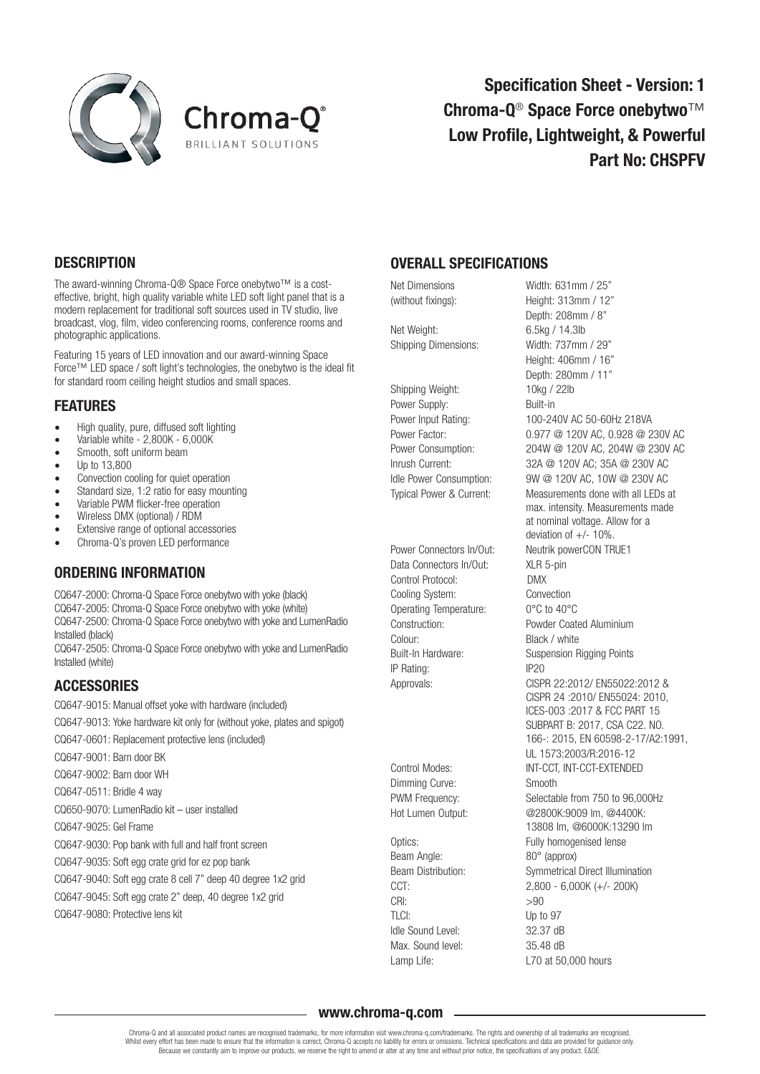



Specification Sheet - Version: 1 Chroma-Q<sup>®</sup> Space Force onebytwo<sup>™</sup> Low Profile, Lightweight, & Powerful Part No: CHSPFV

### **DESCRIPTION**

The award-winning Chroma-Q® Space Force onebytwo™ is a costeffective, bright, high quality variable white LED soft light panel that is a modern replacement for traditional soft sources used in TV studio, live broadcast, vlog, film, video conferencing rooms, conference rooms and photographic applications.

Featuring 15 years of LED innovation and our award-winning Space Force™ LED space / soft light's technologies, the onebytwo is the ideal fit for standard room ceiling height studios and small spaces.

#### FEATURES

- High quality, pure, diffused soft lighting
- Variable white  $2,800K 6,000K$ <br>• Smooth soft uniform beam
- Smooth, soft uniform beam<br>• In to 13 800
- Up to  $13,800$ <br>• Convection co
- Convection cooling for quiet operation
- Standard size, 1:2 ratio for easy mounting
- Variable PWM flicker-free operation
- Wireless DMX (optional) / RDM<br>• Extensive range of optional acc
- Extensive range of optional accessories
- Chroma-Q's proven LED performance

### ORDERING INFORMATION

CQ647-2000: Chroma-Q Space Force onebytwo with yoke (black) CQ647-2005: Chroma-Q Space Force onebytwo with yoke (white) CQ647-2500: Chroma-Q Space Force onebytwo with yoke and LumenRadio Installed (black) CQ647-2505: Chroma-Q Space Force onebytwo with yoke and LumenRadio

Installed (white)

### **ACCESSORIES**

CQ647-9015: Manual offset yoke with hardware (included) CQ647-9013: Yoke hardware kit only for (without yoke, plates and spigot) CQ647-0601: Replacement protective lens (included) CQ647-9001: Barn door BK

CQ647-9002: Barn door WH

- CQ647-0511: Bridle 4 way
- 

CQ650-9070: LumenRadio kit – user installed

CQ647-9025: Gel Frame

CQ647-9030: Pop bank with full and half front screen

CQ647-9035: Soft egg crate grid for ez pop bank

CQ647-9040: Soft egg crate 8 cell 7" deep 40 degree 1x2 grid

CQ647-9045: Soft egg crate 2" deep, 40 degree 1x2 grid

CQ647-9080: Protective lens kit

## OVERALL SPECIFICATIONS

Net Weight: 6.5kg / 14.3lb Shipping Dimensions: Width: 737mm / 29"

Shipping Weight: 10kg / 22lb Power Supply: Built-in

Data Connectors In/Out: XLR 5-pin Control Protocol: DMX Cooling System: Convection Operating Temperature: 0°C to 40°C Colour: Black / white IP Rating: IP20

Dimming Curve: Smooth

Beam Angle: 80° (approx)  $CRI:$   $>90$ TLCI: Up to 97 Idle Sound Level: 32.37 dB Max. Sound level: 35.48 dB Lamp Life: Lamp Life: L70 at 50,000 hours

Net Dimensions Width: 631mm / 25" (without fixings): Height: 313mm / 12" Depth: 208mm / 8" Height: 406mm / 16" Depth: 280mm / 11" Power Input Rating: 100-240V AC 50-60Hz 218VA Power Factor: 0.977 @ 120V AC, 0.928 @ 230V AC Power Consumption: 204W @ 120V AC, 204W @ 230V AC Inrush Current: 32A @ 120V AC; 35A @ 230V AC Idle Power Consumption: 9W @ 120V AC, 10W @ 230V AC Typical Power & Current: Measurements done with all LEDs at max. intensity. Measurements made at nominal voltage. Allow for a deviation of  $+/- 10\%$ . Power Connectors In/Out: Neutrik powerCON TRUE1 Construction: Powder Coated Aluminium Built-In Hardware: Suspension Rigging Points Approvals: CISPR 22:2012/ EN55022:2012 & CISPR 24 :2010/ EN55024: 2010, ICES-003 :2017 & FCC PART 15 SUBPART B: 2017, CSA C22. NO. 166-: 2015, EN 60598-2-17/A2:1991, UL 1573:2003/R:2016-12 Control Modes: INT-CCT, INT-CCT-EXTENDED PWM Frequency: Selectable from 750 to 96,000Hz Hot Lumen Output: @2800K:9009 lm, @4400K: 13808 lm, @6000K:13290 lm Optics: Contract Contract Contract Contract Contract Contract Contract Contract Contract Contract Contract Contract Contract Contract Contract Contract Contract Contract Contract Contract Contract Contract Contract Contrac Beam Distribution: Symmetrical Direct Illumination CCT:  $2,800 - 6,000K (+/- 200K)$ <br>CBI:  $>90$ 

#### www.chroma-q.com

Chroma-Q and all associated product names are recognised trademarks, for more information visit www.chroma-g.com/trademarks. The rights and ownership of all trademarks are recognised Whilst every effort has been made to ensure that the information is correct, Chroma-Q accepts no liability for errors or omissions. Technical specifications and data are provided for guidance only. Because we constantly aim to improve our products, we reserve the right to amend or alter at any time and without prior notice, the specifications of any product. E&OE